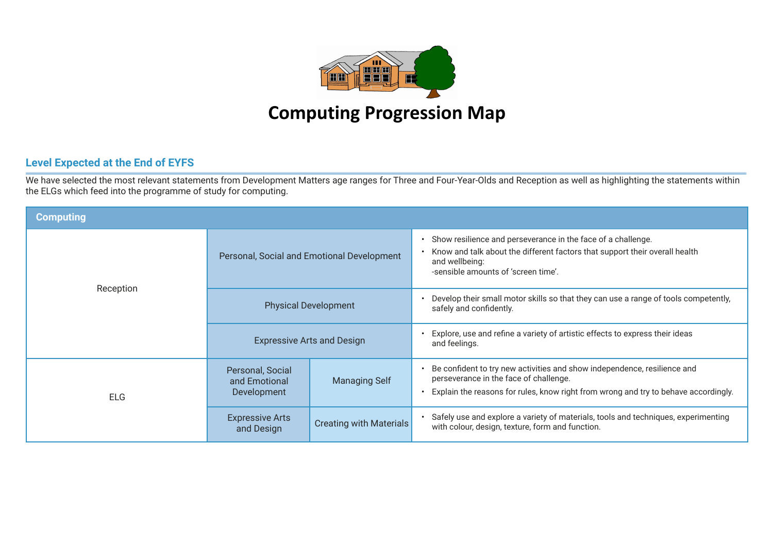

## **Computing Progression Map**

## **Level Expected at the End of EYFS**

We have selected the most relevant statements from Development Matters age ranges for Three and Four-Year-Olds and Reception as well as highlighting the statements within the ELGs which feed into the programme of study for computing.

| <b>Computing</b> |                                                  |                                   |                                                                                                                                                                                                           |  |  |  |  |
|------------------|--------------------------------------------------|-----------------------------------|-----------------------------------------------------------------------------------------------------------------------------------------------------------------------------------------------------------|--|--|--|--|
|                  | Personal, Social and Emotional Development       |                                   | Show resilience and perseverance in the face of a challenge.<br>Know and talk about the different factors that support their overall health<br>and wellbeing:<br>-sensible amounts of 'screen time'.      |  |  |  |  |
| Reception        | <b>Physical Development</b>                      |                                   | Develop their small motor skills so that they can use a range of tools competently,<br>safely and confidently.                                                                                            |  |  |  |  |
|                  |                                                  | <b>Expressive Arts and Design</b> | Explore, use and refine a variety of artistic effects to express their ideas<br>and feelings.                                                                                                             |  |  |  |  |
| <b>ELG</b>       | Personal, Social<br>and Emotional<br>Development | <b>Managing Self</b>              | Be confident to try new activities and show independence, resilience and<br>perseverance in the face of challenge.<br>Explain the reasons for rules, know right from wrong and try to behave accordingly. |  |  |  |  |
|                  | <b>Expressive Arts</b><br>and Design             | <b>Creating with Materials</b>    | Safely use and explore a variety of materials, tools and techniques, experimenting<br>with colour, design, texture, form and function.                                                                    |  |  |  |  |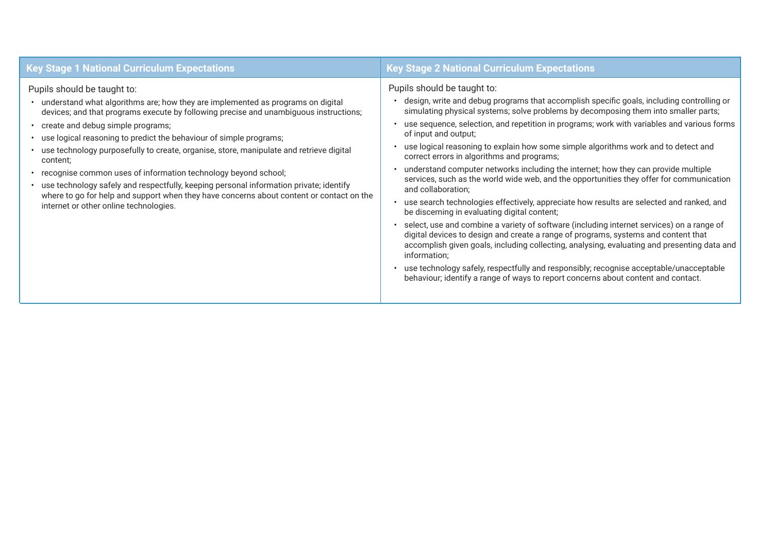| <b>Key Stage 1 National Curriculum Expectations</b>                                                                                                                                                                                                                                                                                                                                                                                                                                                                                                                                                                                                                                                                                     | <b>Key Stage 2 National Curriculum Expectations</b>                                                                                                                                                                                                                                                                                                                                                                                                                                                                                                                                                                                                                                                                                                                                                                                                                                                                                                                                                                                                                                                                                                                                                                                                                                                            |
|-----------------------------------------------------------------------------------------------------------------------------------------------------------------------------------------------------------------------------------------------------------------------------------------------------------------------------------------------------------------------------------------------------------------------------------------------------------------------------------------------------------------------------------------------------------------------------------------------------------------------------------------------------------------------------------------------------------------------------------------|----------------------------------------------------------------------------------------------------------------------------------------------------------------------------------------------------------------------------------------------------------------------------------------------------------------------------------------------------------------------------------------------------------------------------------------------------------------------------------------------------------------------------------------------------------------------------------------------------------------------------------------------------------------------------------------------------------------------------------------------------------------------------------------------------------------------------------------------------------------------------------------------------------------------------------------------------------------------------------------------------------------------------------------------------------------------------------------------------------------------------------------------------------------------------------------------------------------------------------------------------------------------------------------------------------------|
| Pupils should be taught to:<br>• understand what algorithms are; how they are implemented as programs on digital<br>devices; and that programs execute by following precise and unambiguous instructions;<br>• create and debug simple programs;<br>• use logical reasoning to predict the behaviour of simple programs;<br>• use technology purposefully to create, organise, store, manipulate and retrieve digital<br>content;<br>• recognise common uses of information technology beyond school;<br>• use technology safely and respectfully, keeping personal information private; identify<br>where to go for help and support when they have concerns about content or contact on the<br>internet or other online technologies. | Pupils should be taught to:<br>design, write and debug programs that accomplish specific goals, including controlling or<br>simulating physical systems; solve problems by decomposing them into smaller parts;<br>use sequence, selection, and repetition in programs; work with variables and various forms<br>of input and output;<br>use logical reasoning to explain how some simple algorithms work and to detect and<br>correct errors in algorithms and programs;<br>understand computer networks including the internet; how they can provide multiple<br>services, such as the world wide web, and the opportunities they offer for communication<br>and collaboration;<br>use search technologies effectively, appreciate how results are selected and ranked, and<br>be discerning in evaluating digital content;<br>select, use and combine a variety of software (including internet services) on a range of<br>digital devices to design and create a range of programs, systems and content that<br>accomplish given goals, including collecting, analysing, evaluating and presenting data and<br>information;<br>use technology safely, respectfully and responsibly; recognise acceptable/unacceptable<br>behaviour; identify a range of ways to report concerns about content and contact. |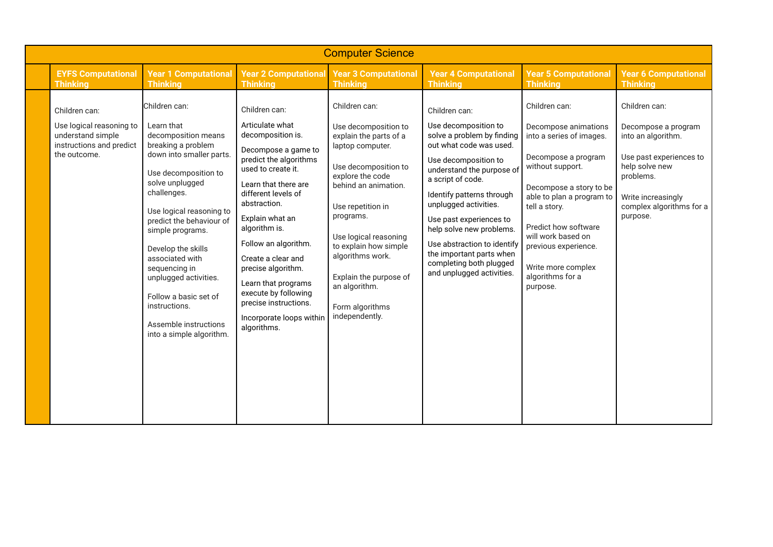| <b>Computer Science</b>                                                                                    |                                                                                                                                                                                                                                                                                                                                                                                                                              |                                                                                                                                                                                                                                                                                                                                                                                                                        |                                                                                                                                                                                                                                                                                                                                                 |                                                                                                                                                                                                                                                                                                                                                                                                          |                                                                                                                                                                                                                                                                                                                   |                                                                                                                                                                                    |  |  |  |
|------------------------------------------------------------------------------------------------------------|------------------------------------------------------------------------------------------------------------------------------------------------------------------------------------------------------------------------------------------------------------------------------------------------------------------------------------------------------------------------------------------------------------------------------|------------------------------------------------------------------------------------------------------------------------------------------------------------------------------------------------------------------------------------------------------------------------------------------------------------------------------------------------------------------------------------------------------------------------|-------------------------------------------------------------------------------------------------------------------------------------------------------------------------------------------------------------------------------------------------------------------------------------------------------------------------------------------------|----------------------------------------------------------------------------------------------------------------------------------------------------------------------------------------------------------------------------------------------------------------------------------------------------------------------------------------------------------------------------------------------------------|-------------------------------------------------------------------------------------------------------------------------------------------------------------------------------------------------------------------------------------------------------------------------------------------------------------------|------------------------------------------------------------------------------------------------------------------------------------------------------------------------------------|--|--|--|
| <b>EYFS Computational</b><br><b>Thinking</b>                                                               | <b>Year 1 Computational</b><br><b>Thinking</b>                                                                                                                                                                                                                                                                                                                                                                               | <b>Year 2 Computational</b><br><b>Thinking</b>                                                                                                                                                                                                                                                                                                                                                                         | <b>Year 3 Computational</b><br><b>Thinking</b>                                                                                                                                                                                                                                                                                                  | <b>Year 4 Computational</b><br><b>Thinking</b>                                                                                                                                                                                                                                                                                                                                                           | <b>Year 5 Computational</b><br><b>Thinking</b>                                                                                                                                                                                                                                                                    | <b>Year 6 Computational</b><br><b>Thinking</b>                                                                                                                                     |  |  |  |
| Children can:<br>Use logical reasoning to<br>understand simple<br>instructions and predict<br>the outcome. | Children can:<br>Learn that<br>decomposition means<br>breaking a problem<br>down into smaller parts.<br>Use decomposition to<br>solve unplugged<br>challenges.<br>Use logical reasoning to<br>predict the behaviour of<br>simple programs.<br>Develop the skills<br>associated with<br>sequencing in<br>unplugged activities.<br>Follow a basic set of<br>instructions.<br>Assemble instructions<br>into a simple algorithm. | Children can:<br>Articulate what<br>decomposition is.<br>Decompose a game to<br>predict the algorithms<br>used to create it.<br>Learn that there are<br>different levels of<br>abstraction.<br>Explain what an<br>algorithm is.<br>Follow an algorithm.<br>Create a clear and<br>precise algorithm.<br>Learn that programs<br>execute by following<br>precise instructions.<br>Incorporate loops within<br>algorithms. | Children can:<br>Use decomposition to<br>explain the parts of a<br>laptop computer.<br>Use decomposition to<br>explore the code<br>behind an animation.<br>Use repetition in<br>programs.<br>Use logical reasoning<br>to explain how simple<br>algorithms work.<br>Explain the purpose of<br>an algorithm.<br>Form algorithms<br>independently. | Children can:<br>Use decomposition to<br>solve a problem by finding<br>out what code was used.<br>Use decomposition to<br>understand the purpose of<br>a script of code.<br>Identify patterns through<br>unplugged activities.<br>Use past experiences to<br>help solve new problems.<br>Use abstraction to identify<br>the important parts when<br>completing both plugged<br>and unplugged activities. | Children can:<br>Decompose animations<br>into a series of images.<br>Decompose a program<br>without support.<br>Decompose a story to be<br>able to plan a program to<br>tell a story.<br>Predict how software<br>will work based on<br>previous experience.<br>Write more complex<br>algorithms for a<br>purpose. | Children can:<br>Decompose a program<br>into an algorithm.<br>Use past experiences to<br>help solve new<br>problems.<br>Write increasingly<br>complex algorithms for a<br>purpose. |  |  |  |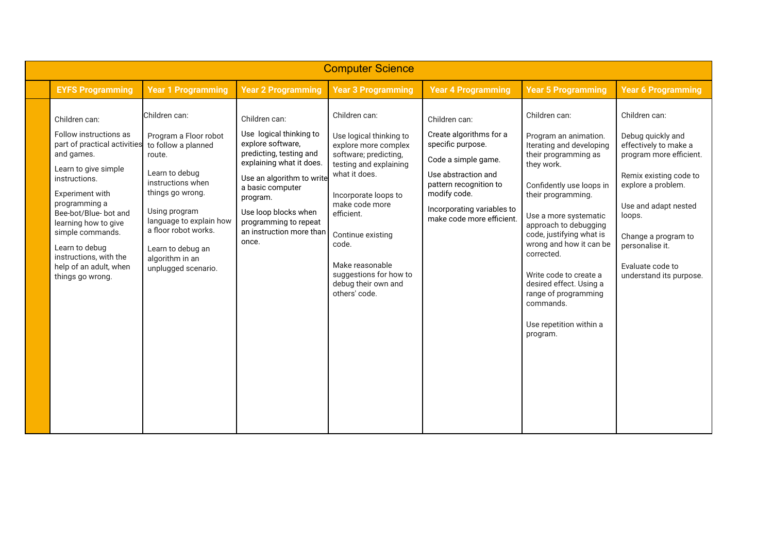| <b>Computer Science</b>                                                                                                                                                                                                                                                                                                           |                                                                                                                                                                                                                                                                       |                                                                                                                                                                                                                                                                         |                                                                                                                                                                                                                                                                                                                 |                                                                                                                                                                                                                  |                                                                                                                                                                                                                                                                                                                                                                                                                    |                                                                                                                                                                                                                                                                   |  |  |
|-----------------------------------------------------------------------------------------------------------------------------------------------------------------------------------------------------------------------------------------------------------------------------------------------------------------------------------|-----------------------------------------------------------------------------------------------------------------------------------------------------------------------------------------------------------------------------------------------------------------------|-------------------------------------------------------------------------------------------------------------------------------------------------------------------------------------------------------------------------------------------------------------------------|-----------------------------------------------------------------------------------------------------------------------------------------------------------------------------------------------------------------------------------------------------------------------------------------------------------------|------------------------------------------------------------------------------------------------------------------------------------------------------------------------------------------------------------------|--------------------------------------------------------------------------------------------------------------------------------------------------------------------------------------------------------------------------------------------------------------------------------------------------------------------------------------------------------------------------------------------------------------------|-------------------------------------------------------------------------------------------------------------------------------------------------------------------------------------------------------------------------------------------------------------------|--|--|
| <b>EYFS Programming</b>                                                                                                                                                                                                                                                                                                           | <b>Year 1 Programming</b>                                                                                                                                                                                                                                             | <b>Year 2 Programming</b>                                                                                                                                                                                                                                               | <b>Year 3 Programming</b>                                                                                                                                                                                                                                                                                       | <b>Year 4 Programming</b>                                                                                                                                                                                        | <b>Year 5 Programming</b>                                                                                                                                                                                                                                                                                                                                                                                          | <b>Year 6 Programming</b>                                                                                                                                                                                                                                         |  |  |
| Children can:<br>Follow instructions as<br>part of practical activities<br>and games.<br>Learn to give simple<br>instructions.<br>Experiment with<br>programming a<br>Bee-bot/Blue- bot and<br>learning how to give<br>simple commands.<br>Learn to debug<br>instructions, with the<br>help of an adult, when<br>things go wrong. | Children can:<br>Program a Floor robot<br>to follow a planned<br>route.<br>Learn to debug<br>instructions when<br>things go wrong.<br>Using program<br>language to explain how<br>a floor robot works.<br>Learn to debug an<br>algorithm in an<br>unplugged scenario. | Children can:<br>Use logical thinking to<br>explore software,<br>predicting, testing and<br>explaining what it does.<br>Use an algorithm to write<br>a basic computer<br>program.<br>Use loop blocks when<br>programming to repeat<br>an instruction more than<br>once. | Children can:<br>Use logical thinking to<br>explore more complex<br>software; predicting,<br>testing and explaining<br>what it does.<br>Incorporate loops to<br>make code more<br>efficient.<br>Continue existing<br>code.<br>Make reasonable<br>suggestions for how to<br>debug their own and<br>others' code. | Children can:<br>Create algorithms for a<br>specific purpose.<br>Code a simple game.<br>Use abstraction and<br>pattern recognition to<br>modify code.<br>Incorporating variables to<br>make code more efficient. | Children can:<br>Program an animation.<br>Iterating and developing<br>their programming as<br>they work.<br>Confidently use loops in<br>their programming.<br>Use a more systematic<br>approach to debugging<br>code, justifying what is<br>wrong and how it can be<br>corrected.<br>Write code to create a<br>desired effect. Using a<br>range of programming<br>commands.<br>Use repetition within a<br>program. | Children can:<br>Debug quickly and<br>effectively to make a<br>program more efficient.<br>Remix existing code to<br>explore a problem.<br>Use and adapt nested<br>loops.<br>Change a program to<br>personalise it.<br>Evaluate code to<br>understand its purpose. |  |  |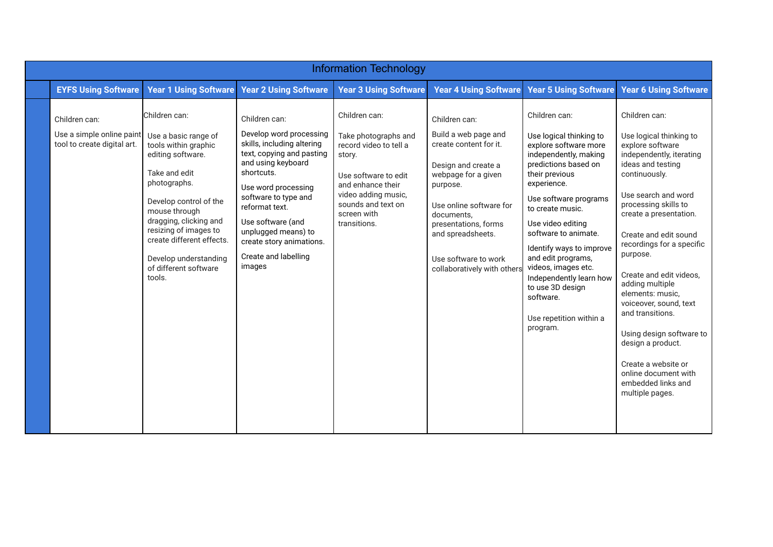| <b>Information Technology</b>                                             |                                                                                                                                                                                                                                                                                                            |                                                                                                                                                                                                                                                                                                                    |                                                                                                                                                                                                    |                                                                                                                                                                                                                                                                        |                                                                                                                                                                                                                                                                                                                                                                                                                           |                                                                                                                                                                                                                                                                                                                                                                                                                                                                                                                                    |  |  |
|---------------------------------------------------------------------------|------------------------------------------------------------------------------------------------------------------------------------------------------------------------------------------------------------------------------------------------------------------------------------------------------------|--------------------------------------------------------------------------------------------------------------------------------------------------------------------------------------------------------------------------------------------------------------------------------------------------------------------|----------------------------------------------------------------------------------------------------------------------------------------------------------------------------------------------------|------------------------------------------------------------------------------------------------------------------------------------------------------------------------------------------------------------------------------------------------------------------------|---------------------------------------------------------------------------------------------------------------------------------------------------------------------------------------------------------------------------------------------------------------------------------------------------------------------------------------------------------------------------------------------------------------------------|------------------------------------------------------------------------------------------------------------------------------------------------------------------------------------------------------------------------------------------------------------------------------------------------------------------------------------------------------------------------------------------------------------------------------------------------------------------------------------------------------------------------------------|--|--|
| <b>EYFS Using Software</b>                                                | <b>Year 1 Using Software</b>                                                                                                                                                                                                                                                                               | <b>Year 2 Using Software</b>                                                                                                                                                                                                                                                                                       | <b>Year 3 Using Software</b>                                                                                                                                                                       | <b>Year 4 Using Software</b>                                                                                                                                                                                                                                           | <b>Year 5 Using Software</b>                                                                                                                                                                                                                                                                                                                                                                                              | <b>Year 6 Using Software</b>                                                                                                                                                                                                                                                                                                                                                                                                                                                                                                       |  |  |
| Children can:<br>Use a simple online paint<br>tool to create digital art. | Children can:<br>Use a basic range of<br>tools within graphic<br>editing software.<br>Take and edit<br>photographs.<br>Develop control of the<br>mouse through<br>dragging, clicking and<br>resizing of images to<br>create different effects.<br>Develop understanding<br>of different software<br>tools. | Children can:<br>Develop word processing<br>skills, including altering<br>text, copying and pasting<br>and using keyboard<br>shortcuts.<br>Use word processing<br>software to type and<br>reformat text.<br>Use software (and<br>unplugged means) to<br>create story animations.<br>Create and labelling<br>images | Children can:<br>Take photographs and<br>record video to tell a<br>story.<br>Use software to edit<br>and enhance their<br>video adding music,<br>sounds and text on<br>screen with<br>transitions. | Children can:<br>Build a web page and<br>create content for it.<br>Design and create a<br>webpage for a given<br>purpose.<br>Use online software for<br>documents.<br>presentations, forms<br>and spreadsheets.<br>Use software to work<br>collaboratively with others | Children can:<br>Use logical thinking to<br>explore software more<br>independently, making<br>predictions based on<br>their previous<br>experience.<br>Use software programs<br>to create music.<br>Use video editing<br>software to animate.<br>Identify ways to improve<br>and edit programs,<br>videos, images etc.<br>Independently learn how<br>to use 3D design<br>software.<br>Use repetition within a<br>program. | Children can:<br>Use logical thinking to<br>explore software<br>independently, iterating<br>ideas and testing<br>continuously.<br>Use search and word<br>processing skills to<br>create a presentation.<br>Create and edit sound<br>recordings for a specific<br>purpose.<br>Create and edit videos,<br>adding multiple<br>elements: music,<br>voiceover, sound, text<br>and transitions.<br>Using design software to<br>design a product.<br>Create a website or<br>online document with<br>embedded links and<br>multiple pages. |  |  |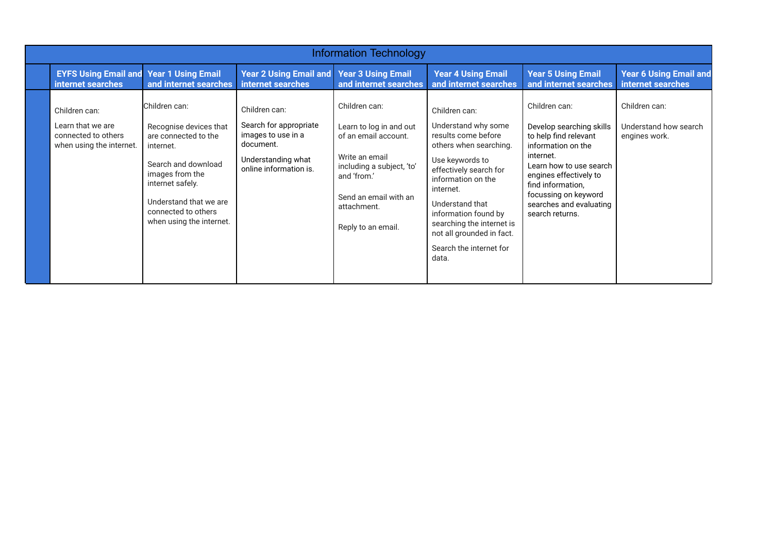| <b>Information Technology</b>                                                         |                                                                                                                                                                                                                         |                                                                                                                            |                                                                                                                                                                                              |                                                                                                                                                                                                                                                                                                                |                                                                                                                                                                                                                                                       |                                                         |  |  |
|---------------------------------------------------------------------------------------|-------------------------------------------------------------------------------------------------------------------------------------------------------------------------------------------------------------------------|----------------------------------------------------------------------------------------------------------------------------|----------------------------------------------------------------------------------------------------------------------------------------------------------------------------------------------|----------------------------------------------------------------------------------------------------------------------------------------------------------------------------------------------------------------------------------------------------------------------------------------------------------------|-------------------------------------------------------------------------------------------------------------------------------------------------------------------------------------------------------------------------------------------------------|---------------------------------------------------------|--|--|
| <b>EYFS Using Email and</b><br>internet searches                                      | <b>Year 1 Using Email</b><br>and internet searches                                                                                                                                                                      | <b>Year 2 Using Email and</b><br>internet searches                                                                         | <b>Year 3 Using Email</b><br>and internet searches                                                                                                                                           | <b>Year 4 Using Email</b><br>and internet searches                                                                                                                                                                                                                                                             | <b>Year 5 Using Email</b><br>and internet searches                                                                                                                                                                                                    | <b>Year 6 Using Email and</b><br>internet searches      |  |  |
| Children can:<br>Learn that we are<br>connected to others<br>when using the internet. | Children can:<br>Recognise devices that<br>are connected to the<br>internet.<br>Search and download<br>images from the<br>internet safely.<br>Understand that we are<br>connected to others<br>when using the internet. | Children can:<br>Search for appropriate<br>images to use in a<br>document.<br>Understanding what<br>online information is. | Children can:<br>Learn to log in and out<br>of an email account.<br>Write an email<br>including a subject, 'to'<br>and 'from.'<br>Send an email with an<br>attachment.<br>Reply to an email. | Children can:<br>Understand why some<br>results come before<br>others when searching.<br>Use keywords to<br>effectively search for<br>information on the<br>internet.<br>Understand that<br>information found by<br>searching the internet is<br>not all grounded in fact.<br>Search the internet for<br>data. | Children can:<br>Develop searching skills<br>to help find relevant<br>information on the<br>internet.<br>Learn how to use search<br>engines effectively to<br>find information,<br>focussing on keyword<br>searches and evaluating<br>search returns. | Children can:<br>Understand how search<br>engines work. |  |  |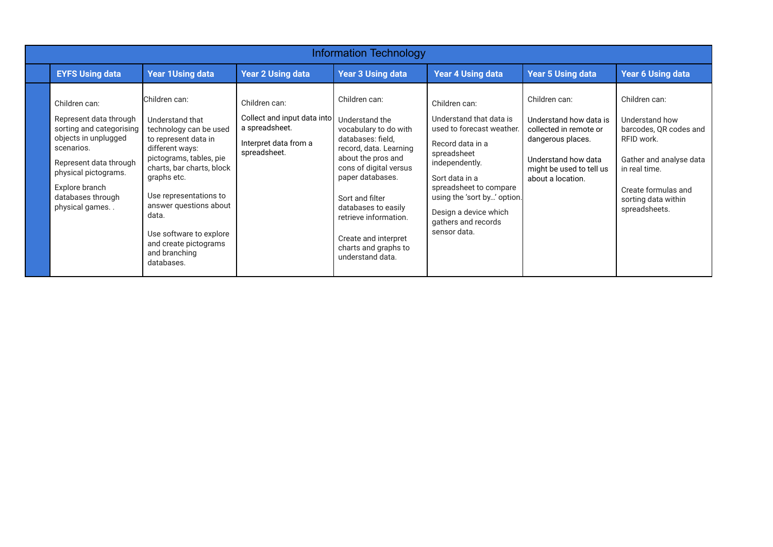| <b>Information Technology</b>                                                                                                                                                                                        |                                                                                                                                                                                                                                                                                                                              |                                                                                                         |                                                                                                                                                                                                                                                                                                                    |                                                                                                                                                                                                                                                                       |                                                                                                                                                                |                                                                                                                                                                                    |  |  |
|----------------------------------------------------------------------------------------------------------------------------------------------------------------------------------------------------------------------|------------------------------------------------------------------------------------------------------------------------------------------------------------------------------------------------------------------------------------------------------------------------------------------------------------------------------|---------------------------------------------------------------------------------------------------------|--------------------------------------------------------------------------------------------------------------------------------------------------------------------------------------------------------------------------------------------------------------------------------------------------------------------|-----------------------------------------------------------------------------------------------------------------------------------------------------------------------------------------------------------------------------------------------------------------------|----------------------------------------------------------------------------------------------------------------------------------------------------------------|------------------------------------------------------------------------------------------------------------------------------------------------------------------------------------|--|--|
| <b>EYFS Using data</b>                                                                                                                                                                                               | <b>Year 1Using data</b>                                                                                                                                                                                                                                                                                                      | <b>Year 2 Using data</b>                                                                                | <b>Year 3 Using data</b>                                                                                                                                                                                                                                                                                           | <b>Year 4 Using data</b>                                                                                                                                                                                                                                              | <b>Year 5 Using data</b>                                                                                                                                       | <b>Year 6 Using data</b>                                                                                                                                                           |  |  |
| Children can:<br>Represent data through<br>sorting and categorising<br>objects in unplugged<br>scenarios.<br>Represent data through<br>physical pictograms.<br>Explore branch<br>databases through<br>physical games | Children can:<br>Understand that<br>technology can be used<br>to represent data in<br>different ways:<br>pictograms, tables, pie<br>charts, bar charts, block<br>graphs etc.<br>Use representations to<br>answer questions about<br>data.<br>Use software to explore<br>and create pictograms<br>and branching<br>databases. | Children can:<br>Collect and input data into<br>a spreadsheet.<br>Interpret data from a<br>spreadsheet. | Children can:<br>Understand the<br>vocabulary to do with<br>databases: field,<br>record, data. Learning<br>about the pros and<br>cons of digital versus<br>paper databases.<br>Sort and filter<br>databases to easily<br>retrieve information.<br>Create and interpret<br>charts and graphs to<br>understand data. | Children can:<br>Understand that data is<br>used to forecast weather.<br>Record data in a<br>spreadsheet<br>independently.<br>Sort data in a<br>spreadsheet to compare<br>using the 'sort by' option.<br>Design a device which<br>gathers and records<br>sensor data. | Children can:<br>Understand how data is<br>collected in remote or<br>dangerous places.<br>Understand how data<br>might be used to tell us<br>about a location. | Children can:<br>Understand how<br>barcodes, QR codes and<br>RFID work.<br>Gather and analyse data<br>in real time.<br>Create formulas and<br>sorting data within<br>spreadsheets. |  |  |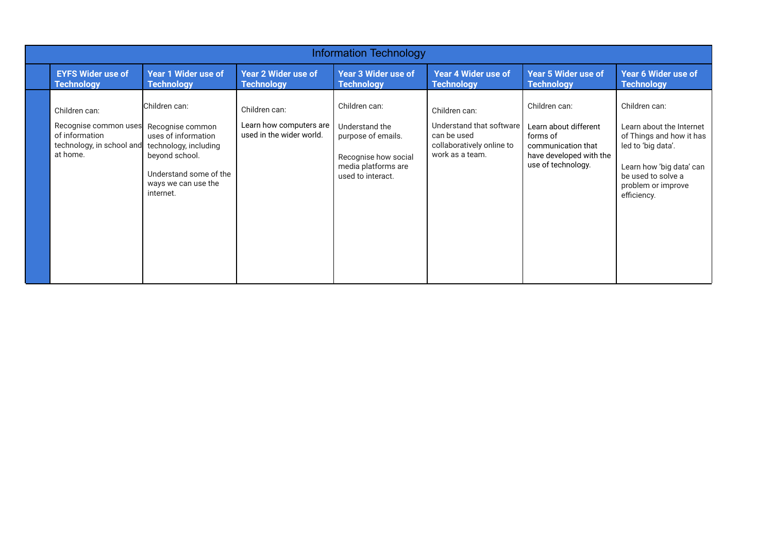| <b>Information Technology</b>                                                                     |                                                                                                                                                                   |                                                                      |                                                                                                                           |                                                                                                          |                                                                                                                           |                                                                                                                                                                                    |  |  |
|---------------------------------------------------------------------------------------------------|-------------------------------------------------------------------------------------------------------------------------------------------------------------------|----------------------------------------------------------------------|---------------------------------------------------------------------------------------------------------------------------|----------------------------------------------------------------------------------------------------------|---------------------------------------------------------------------------------------------------------------------------|------------------------------------------------------------------------------------------------------------------------------------------------------------------------------------|--|--|
| <b>EYFS Wider use of</b><br><b>Technology</b>                                                     | <b>Year 1 Wider use of</b><br><b>Technology</b>                                                                                                                   | <b>Year 2 Wider use of</b><br><b>Technology</b>                      | <b>Year 3 Wider use of</b><br><b>Technology</b>                                                                           | <b>Year 4 Wider use of</b><br><b>Technology</b>                                                          | <b>Year 5 Wider use of</b><br><b>Technology</b>                                                                           | Year 6 Wider use of<br><b>Technology</b>                                                                                                                                           |  |  |
| Children can:<br>Recognise common uses<br>of information<br>technology, in school and<br>at home. | Children can:<br>Recognise common<br>uses of information<br>technology, including<br>beyond school.<br>Understand some of the<br>ways we can use the<br>internet. | Children can:<br>Learn how computers are<br>used in the wider world. | Children can:<br>Understand the<br>purpose of emails.<br>Recognise how social<br>media platforms are<br>used to interact. | Children can:<br>Understand that software<br>can be used<br>collaboratively online to<br>work as a team. | Children can:<br>Learn about different<br>forms of<br>communication that<br>have developed with the<br>use of technology. | Children can:<br>Learn about the Internet<br>of Things and how it has<br>led to 'big data'.<br>Learn how 'big data' can<br>be used to solve a<br>problem or improve<br>efficiency. |  |  |